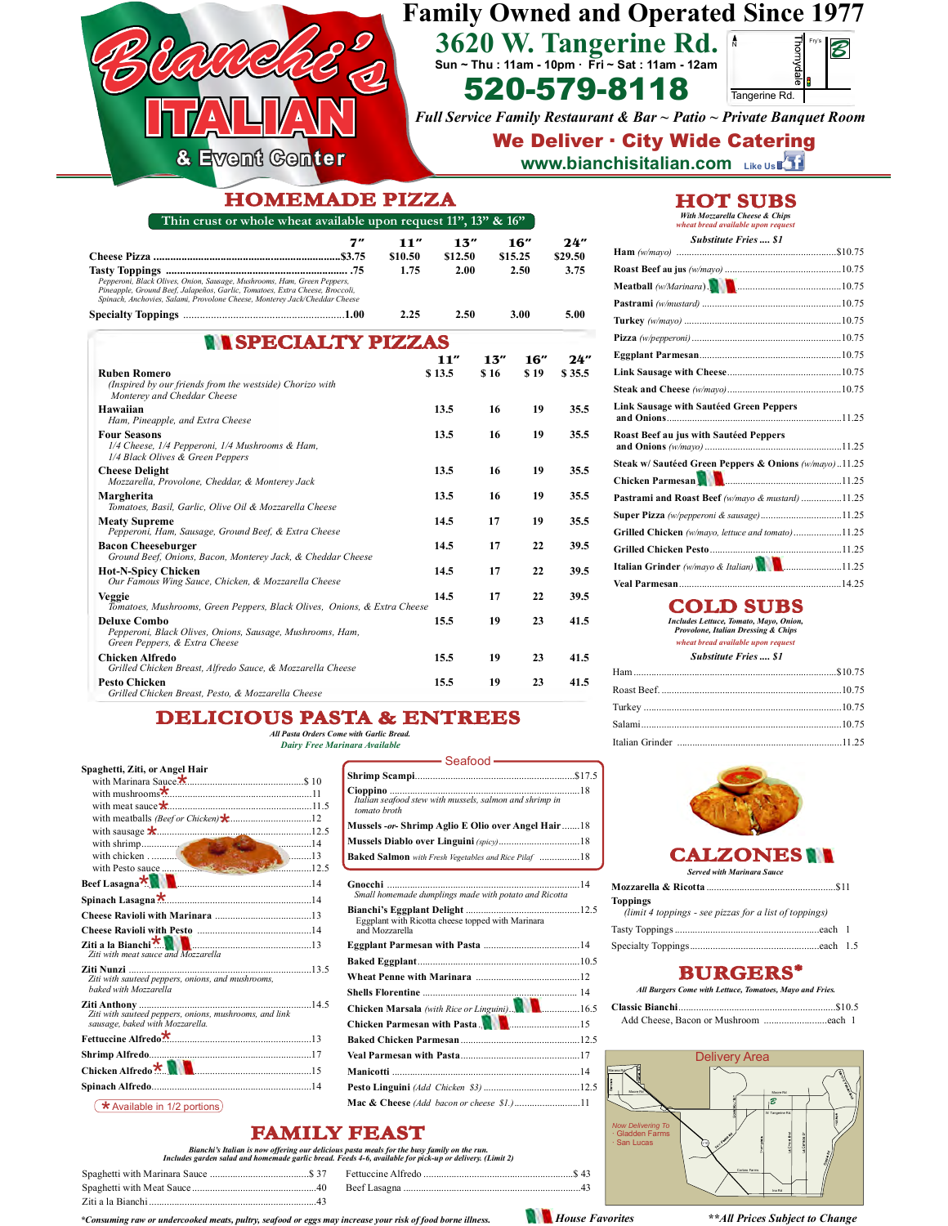## **Family Owned and Operated Since 1977 3620 W. Tangerine Rd.**

**Sun ~ Thu : 11am - 10pm ∙ Fri ~ Sat : 11am - 12am**



*Full Service Family Restaurant & Bar ~ Patio ~ Private Banquet Room* 520-579-8118 Tangerine Rd.<br>
Full Service Family Restaurant & Bar ~ Patio ~ Private Ban<br>
We Deliver : City Wide Caterin

#### & Event Genter

**Tasty Toppings ................................................................. .75 1.75 2.00 2.50 3.75**

**Cheese Pizza ...................................................................\$3.75 \$10.50 \$12.50 \$15.25 \$29.50**

#### **www.bianchisitalian.com Like Us** We Deliver ⋅ City Wide Catering

#### **HOMEMADE PIZZA**

| Thin crust or whole wheat available upon request $11$ ", $13$ " & $16$ "                                                                                                                                                              |    |                        |                        |             |                        |                        | With Mozzarella Cheese & Chips<br>wheat bread available upon request |
|---------------------------------------------------------------------------------------------------------------------------------------------------------------------------------------------------------------------------------------|----|------------------------|------------------------|-------------|------------------------|------------------------|----------------------------------------------------------------------|
| Pepperoni, Black Olives, Onion, Sausage, Mushrooms, Ham, Green Peppers,<br>Pineapple, Ground Beef, Jalapeños, Garlic, Tomatoes, Extra Cheese, Broccoli,<br>Spinach, Anchovies, Salami, Provolone Cheese, Monterey Jack/Cheddar Cheese | 7″ | 11″<br>\$10.50<br>1.75 | 13"<br>\$12.50<br>2.00 |             | 16"<br>\$15.25<br>2.50 | 24"<br>\$29.50<br>3.75 | <b>Substitute Fries \$1</b>                                          |
|                                                                                                                                                                                                                                       |    | 2.25                   | 2.50                   |             | 3.00                   | 5.00                   |                                                                      |
| <b>NI SPECIALTY PIZZAS</b><br>Ruben Romero<br>(Inspired by our friends from the westside) Chorizo with<br>Monterey and Cheddar Cheese                                                                                                 |    |                        | 11"<br>\$13.5          | 13"<br>S 16 | 16"<br>\$19            | 24"<br>\$35.5          |                                                                      |
| Hawaiian<br>Ham, Pineapple, and Extra Cheese                                                                                                                                                                                          |    |                        | 13.5                   | 16          | 19                     | 35.5                   | Link Sausage with Sautéed Green Pepper:                              |
| <b>Four Seasons</b><br>1/4 Cheese, 1/4 Pepperoni, 1/4 Mushrooms & Ham,<br>1/4 Black Olives & Green Peppers                                                                                                                            |    |                        | 13.5                   | 16          | 19                     | 35.5                   | Roast Beef au jus with Sautéed Peppers                               |
| Cheese Delight<br>Mozzarella, Provolone, Cheddar, & Monterey Jack                                                                                                                                                                     |    |                        | 13.5                   | 16          | 19                     | 35.5                   | Steak w/ Sautéed Green Peppers & Onion<br><b>Chicken Parmesan</b>    |

| 2.25                                                                                                              | 2.50   |      | 3.00 | 5.00   |
|-------------------------------------------------------------------------------------------------------------------|--------|------|------|--------|
| <b>NI SPECIALTY PIZZAS</b>                                                                                        |        |      |      |        |
|                                                                                                                   | 11"    | 13"  | 16"  | 24'    |
| <b>Ruben Romero</b><br>(Inspired by our friends from the westside) Chorizo with<br>Monterey and Cheddar Cheese    | \$13.5 | \$16 | \$19 | \$35.5 |
| Hawaiian<br>Ham, Pineapple, and Extra Cheese                                                                      | 13.5   | 16   | 19   | 35.5   |
| <b>Four Seasons</b><br>1/4 Cheese, 1/4 Pepperoni, 1/4 Mushrooms & Ham,<br>1/4 Black Olives & Green Peppers        | 13.5   | 16   | 19   | 35.5   |
| <b>Cheese Delight</b><br>Mozzarella, Provolone, Cheddar, & Monterey Jack                                          | 13.5   | 16   | 19   | 35.5   |
| Margherita<br>Tomatoes, Basil, Garlic, Olive Oil & Mozzarella Cheese                                              | 13.5   | 16   | 19   | 35.5   |
| <b>Meaty Supreme</b><br>Pepperoni, Ham, Sausage, Ground Beef, & Extra Cheese                                      | 14.5   | 17   | 19   | 35.5   |
| <b>Bacon Cheeseburger</b><br>Ground Beef, Onions, Bacon, Monterey Jack, & Cheddar Cheese                          | 14.5   | 17   | 22   | 39.5   |
| <b>Hot-N-Spicy Chicken</b><br>Our Famous Wing Sauce, Chicken, & Mozzarella Cheese                                 | 14.5   | 17   | 22   | 39.5   |
| Veggie<br>Tomatoes, Mushrooms, Green Peppers, Black Olives, Onions, & Extra Cheese                                | 14.5   | 17   | 22   | 39.5   |
| <b>Deluxe Combo</b><br>Pepperoni, Black Olives, Onions, Sausage, Mushrooms, Ham,<br>Green Peppers, & Extra Cheese | 15.5   | 19   | 23   | 41.5   |
| Chicken Alfredo<br>Grilled Chicken Breast, Alfredo Sauce, & Mozzarella Cheese                                     | 15.5   | 19   | 23   | 41.5   |
| <b>Pesto Chicken</b><br>Grilled Chicken Breast, Pesto, & Mozzarella Cheese                                        | 15.5   | 19   | 23   | 41.5   |

## **DELICIOUS PASTA & ENTREES**

*All Pasta Orders Come with Garlic Bread. Dairy Free Marinara Available*

| Spaghetti, Ziti, or Angel Hair                                                            |
|-------------------------------------------------------------------------------------------|
|                                                                                           |
|                                                                                           |
|                                                                                           |
|                                                                                           |
|                                                                                           |
|                                                                                           |
|                                                                                           |
| 12.5                                                                                      |
|                                                                                           |
|                                                                                           |
|                                                                                           |
|                                                                                           |
| Ziti with meat sauce and Mozzarella                                                       |
| Ziti with sauteed peppers, onions, and mushrooms,<br>baked with Mozzarella                |
| Ziti with sauteed peppers, onions, mushrooms, and link<br>sausage, baked with Mozzarella. |
|                                                                                           |
|                                                                                           |
|                                                                                           |
|                                                                                           |
| * Available in 1/2 portions)                                                              |
|                                                                                           |

| —————— Seafood ——                                                       |
|-------------------------------------------------------------------------|
|                                                                         |
| Italian seafood stew with mussels, salmon and shrimp in<br>tomato broth |
| Mussels -or- Shrimp Aglio E Olio over Angel Hair18                      |
|                                                                         |
| Baked Salmon with Fresh Vegetables and Rice Pilaf 18                    |
|                                                                         |
| Small homemade dumplings made with potato and Ricotta                   |
| Eggplant with Ricotta cheese topped with Marinara<br>and Mozzarella     |
|                                                                         |
|                                                                         |
|                                                                         |
|                                                                         |
| Chicken Marsala (with Rice or Linguini). <b>2010</b> 16.5               |
|                                                                         |
|                                                                         |
|                                                                         |
|                                                                         |
|                                                                         |
| Mac & Cheese (Add bacon or cheese \$1.)11                               |

- Seafood

|       |  | HOTSUBS |
|-------|--|---------|
| ----- |  |         |

| Substitute Fries  S1                                        |
|-------------------------------------------------------------|
|                                                             |
|                                                             |
| Meatball (w/Marinara). <b>Warehouse Communication</b> 10.75 |
|                                                             |
|                                                             |
|                                                             |
|                                                             |
|                                                             |
|                                                             |
| <b>Link Sausage with Sautéed Green Peppers</b>              |
| <b>Roast Beef au jus with Sautéed Peppers</b>               |
| Steak w/ Sautéed Green Peppers & Onions (w/mayo)11.25       |
| Chicken Parmesan <b>Manual Manual Chicken</b> Parmesan      |
| Pastrami and Roast Beef (w/mayo & mustard) 11.25            |
| Super Pizza (w/pepperoni & sausage)11.25                    |
| Grilled Chicken (w/mayo, lettuce and tomato)11.25           |
|                                                             |
| Italian Grinder (w/mayo & Italian)                          |
|                                                             |

### **COLD SUBS**

*Includes Lettuce, Tomato, Mayo, Onion, Provolone, Italian Dressing & Chips*

|  | wheat bread available upon request |  |
|--|------------------------------------|--|
|  |                                    |  |

| <b>Substitute Fries  \$1</b> |  |  |
|------------------------------|--|--|
|                              |  |  |
|                              |  |  |
|                              |  |  |
|                              |  |  |
|                              |  |  |



**Mozzarella & Ricotta** ...................................................\$11  *(limit 4 toppings - see pizzas for a list of toppings)* **Toppings** *Served with Marinara Sauce*

#### **BURGERS\***

| All Burgers Come with Lettuce, Tomatoes, Mayo and Fries. |  |  |  |
|----------------------------------------------------------|--|--|--|
|                                                          |  |  |  |



**FAMILY FEAST** *Bianchi's Italian is now offering our delicious pasta meals for the busy family on the run.*

| Includes garden salad and homemade garlic bread. Feeds 4-6, available for pick-up or delivery. (Limit 2) |  |
|----------------------------------------------------------------------------------------------------------|--|
|                                                                                                          |  |

Ziti a la Bianchi ..................................................................43 Spaghetti with Meat Sauce.................................................40 Beef Lasagna ......................................................................43

*\*Consuming raw or undercooked meats, pultry, seafood or eggs may increase your risk of food borne illness. House Favorites \*\*All Prices Subject to Change*